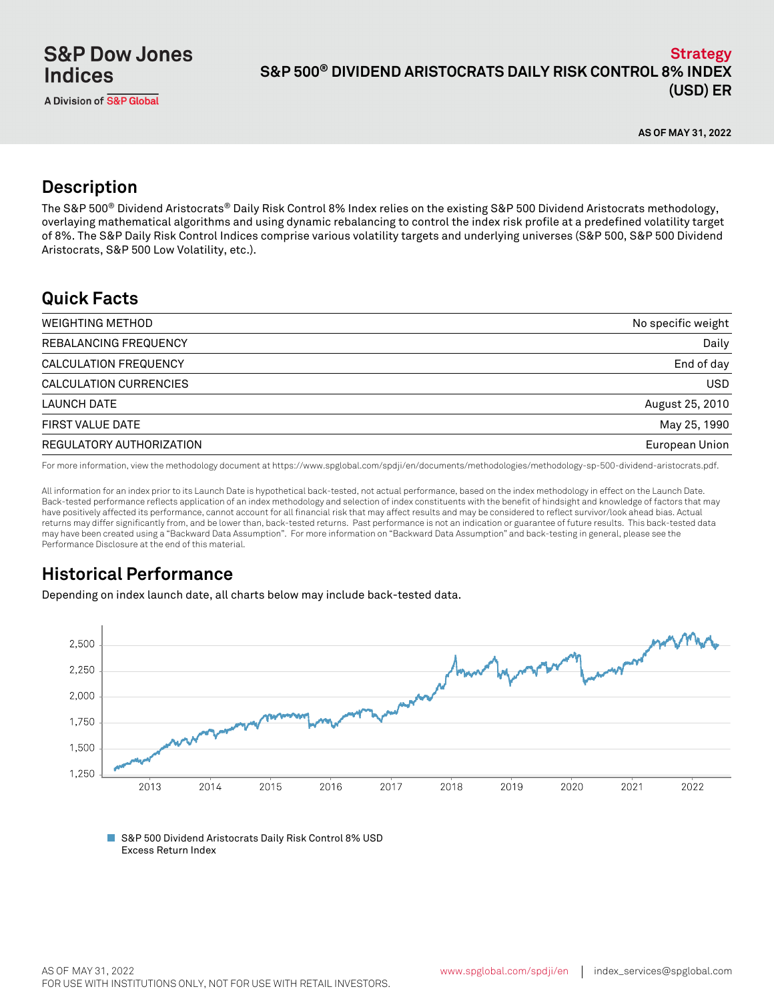**AS OF MAY 31, 2022**

## **Description**

The S&P 500® Dividend Aristocrats® Daily Risk Control 8% Index relies on the existing S&P 500 Dividend Aristocrats methodology, overlaying mathematical algorithms and using dynamic rebalancing to control the index risk profile at a predefined volatility target of 8%. The S&P Daily Risk Control Indices comprise various volatility targets and underlying universes (S&P 500, S&P 500 Dividend Aristocrats, S&P 500 Low Volatility, etc.).

## **Quick Facts**

| <b>WEIGHTING METHOD</b>  | No specific weight |
|--------------------------|--------------------|
| REBALANCING FREQUENCY    | Daily              |
| CALCULATION FREQUENCY    | End of day         |
| CALCULATION CURRENCIES   | <b>USD</b>         |
| LAUNCH DATE              | August 25, 2010    |
| <b>FIRST VALUE DATE</b>  | May 25, 1990       |
| REGULATORY AUTHORIZATION | European Union     |

For more information, view the methodology document at https://www.spglobal.com/spdji/en/documents/methodologies/methodology-sp-500-dividend-aristocrats.pdf.

All information for an index prior to its Launch Date is hypothetical back-tested, not actual performance, based on the index methodology in effect on the Launch Date. Back-tested performance reflects application of an index methodology and selection of index constituents with the benefit of hindsight and knowledge of factors that may have positively affected its performance, cannot account for all financial risk that may affect results and may be considered to reflect survivor/look ahead bias. Actual returns may differ significantly from, and be lower than, back-tested returns. Past performance is not an indication or guarantee of future results. This back-tested data may have been created using a "Backward Data Assumption". For more information on "Backward Data Assumption" and back-testing in general, please see the Performance Disclosure at the end of this material.

## **Historical Performance**

Depending on index launch date, all charts below may include back-tested data.



■ S&P 500 Dividend Aristocrats Daily Risk Control 8% USD Excess Return Index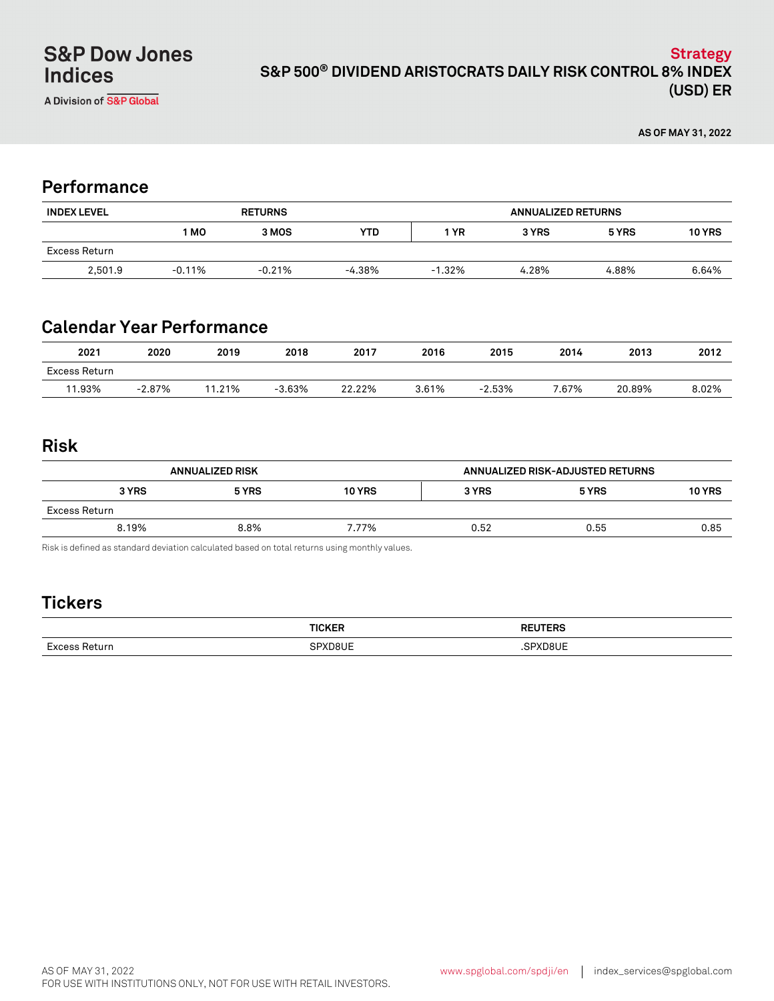### **S&P 500® DIVIDEND ARISTOCRATS DAILY RISK CONTROL 8% INDEX (USD) ER Strategy**

**AS OF MAY 31, 2022**

## **Performance**

| <b>INDEX LEVEL</b> | <b>RETURNS</b> |          |          | <b>ANNUALIZED RETURNS</b> |       |       |               |
|--------------------|----------------|----------|----------|---------------------------|-------|-------|---------------|
|                    | 1 MO           | 3 MOS    | YTD      | <b>YR</b>                 | 3 YRS | 5 YRS | <b>10 YRS</b> |
| Excess Return      |                |          |          |                           |       |       |               |
| 2.501.9            | $-0.11%$       | $-0.21%$ | $-4.38%$ | $-1.32%$                  | 4.28% | 4.88% | 6.64%         |

# **Calendar Year Performance**

| 2021          | 2020      | 2019       | 2018     | 2017   | 2016  | 2015     | 2014  | 2013   | 2012  |
|---------------|-----------|------------|----------|--------|-------|----------|-------|--------|-------|
| Excess Return |           |            |          |        |       |          |       |        |       |
| 11.93%        | $-2.87\%$ | .21%<br>11 | $-3.63%$ | 22.22% | 3.61% | $-2.53%$ | 7.67% | 20.89% | 8.02% |

### **Risk**

| <b>ANNUALIZED RISK</b> |       |               | ANNUALIZED RISK-ADJUSTED RETURNS |       |               |
|------------------------|-------|---------------|----------------------------------|-------|---------------|
| 3 YRS                  | 5 YRS | <b>10 YRS</b> | 3 YRS                            | 5 YRS | <b>10 YRS</b> |
| Excess Return          |       |               |                                  |       |               |
| 8.19%                  | 8.8%  | 7.77%         | 0.52                             | 0.55  | 0.85          |

Risk is defined as standard deviation calculated based on total returns using monthly values.

# **Tickers**

| - |  |
|---|--|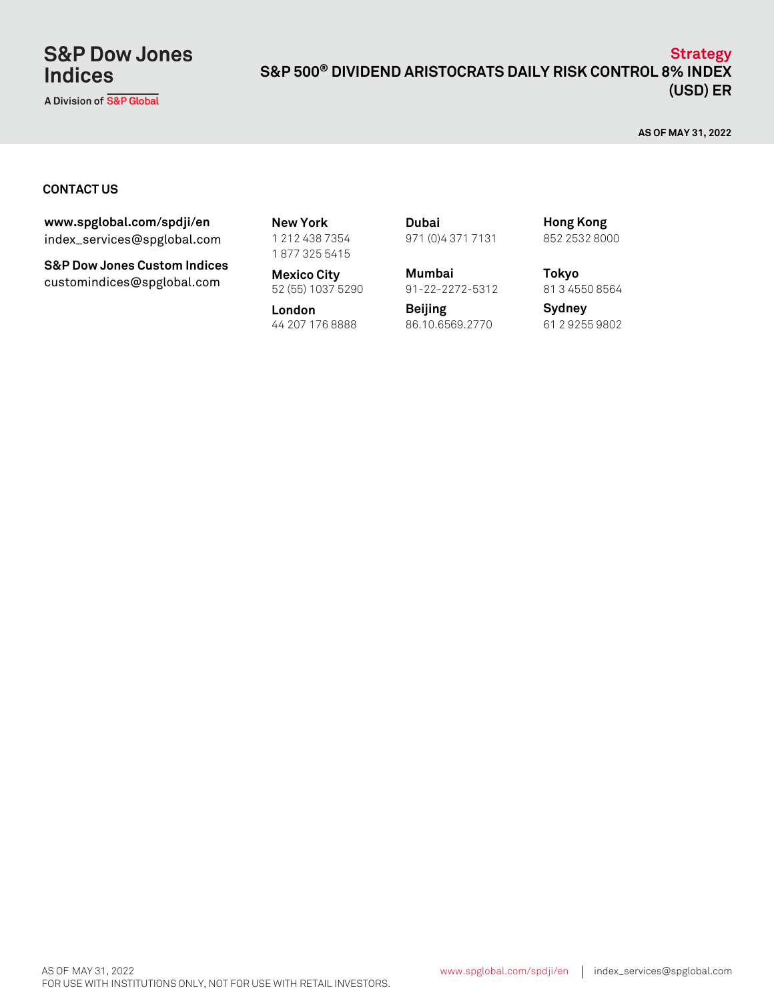# **S&P Dow Jones Indices**

A Division of S&P Global

#### **S&P 500® DIVIDEND ARISTOCRATS DAILY RISK CONTROL 8% INDEX (USD) ER Strategy**

**AS OF MAY 31, 2022**

#### **CONTACT US**

index\_services@spglobal.com **www.spglobal.com/spdji/en New York**

**S&P Dow Jones Custom Indices** customindices@spglobal.com **Mexico City**<br>52 (55) 1037 5290

1 212 438 7354 1 877 325 5415

**Mexico City Mumbai**

**London** 44 207 176 8888 61 2 9255 9802 86.10.6569.2770

971 (0)4 371 7131 **Dubai**

91-22-2272-5312

**Beijing**

852 2532 8000 **Hong Kong**

**Tokyo** 81 3 4550 8564

**Sydney**